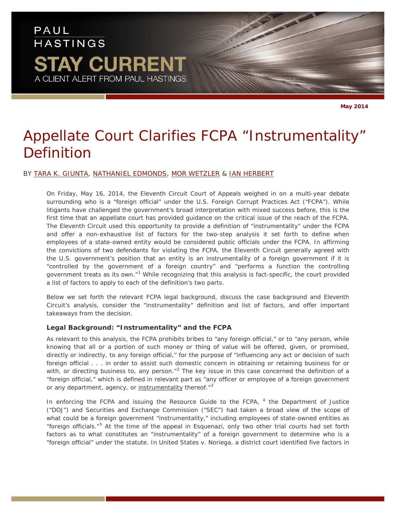# PAUL **HASTINGS STAY CURRENT** A CLIENT ALERT FROM PAUL HASTINGS

**May 2014**

# *Appellate Court Clarifies FCPA "Instrumentality" Definition*

# BY [TARA K. GIUNTA,](http://www.paulhastings.com/Professionals/details/taragiunta/) [NATHANIEL EDMONDS,](http://www.paulhastings.com/Professionals/details/nathanieledmonds/) [MOR WETZLER](http://www.paulhastings.com/Professionals/details/morwetzler/) & [IAN HERBERT](http://www.paulhastings.com/Professionals/details/ianherbert/)

On Friday, May 16, 2014, the Eleventh Circuit Court of Appeals weighed in on a multi-year debate surrounding who is a "foreign official" under the U.S. Foreign Corrupt Practices Act ("FCPA"). While litigants have challenged the government's broad interpretation with mixed success before, this is the first time that an appellate court has provided guidance on the critical issue of the reach of the FCPA. The Eleventh Circuit used this opportunity to provide a definition of "instrumentality" under the FCPA and offer a non-exhaustive list of factors for the two-step analysis it set forth to define when employees of a state-owned entity would be considered public officials under the FCPA. In affirming the convictions of two defendants for violating the FCPA, the Eleventh Circuit generally agreed with the U.S. government's position that an entity is an instrumentality of a foreign government if it is "controlled by the government of a foreign country" and "performs a function the controlling government treats as its own."<sup>[1](#page-5-0)</sup> While recognizing that this analysis is fact-specific, the court provided a list of factors to apply to each of the definition's two parts.

Below we set forth the relevant FCPA legal background, discuss the case background and Eleventh Circuit's analysis, consider the "instrumentality" definition and list of factors, and offer important takeaways from the decision.

# **Legal Background: "Instrumentality" and the FCPA**

As relevant to this analysis, the FCPA prohibits bribes to "any foreign official," or to "any person, while knowing that all or a portion of such money or thing of value will be offered, given, or promised, directly or indirectly, to any foreign official," for the purpose of "influencing any act or decision of such foreign official . . . in order to assist such domestic concern in obtaining or retaining business for or with, or directing business to, any person."<sup>[2](#page-5-1)</sup> The key issue in this case concerned the definition of a "foreign official," which is defined in relevant part as "any officer or employee of a foreign government or any department, agency, or instrumentality thereof."<sup>[3](#page-5-2)</sup>

In enforcing the FCPA and issuing the Resource Guide to the FCPA, <sup>[4](#page-5-3)</sup> the Department of Justice ("DOJ") and Securities and Exchange Commission ("SEC") had taken a broad view of the scope of what could be a foreign government "instrumentality," including employees of state-owned entities as "foreign officials."[5](#page-5-4) At the time of the appeal in *Esquenazi*, only two other trial courts had set forth factors as to what constitutes an "instrumentality" of a foreign government to determine who is a "foreign official" under the statute. In *United States v. Noriega*, a district court identified five factors in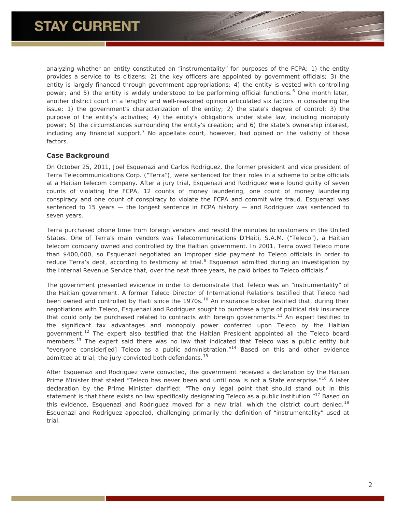analyzing whether an entity constituted an "instrumentality" for purposes of the FCPA: 1) the entity provides a service to its citizens; 2) the key officers are appointed by government officials; 3) the entity is largely financed through government appropriations; 4) the entity is vested with controlling power; and 5) the entity is widely understood to be performing official functions.<sup>[6](#page-6-0)</sup> One month later, another district court in a lengthy and well-reasoned opinion articulated six factors in considering the issue: 1) the government's characterization of the entity; 2) the state's degree of control; 3) the purpose of the entity's activities; 4) the entity's obligations under state law, including monopoly power; 5) the circumstances surrounding the entity's creation; and 6) the state's ownership interest, including any financial support.<sup>[7](#page-6-1)</sup> No appellate court, however, had opined on the validity of those factors.

# **Case Background**

On October 25, 2011, Joel Esquenazi and Carlos Rodriguez, the former president and vice president of Terra Telecommunications Corp. ("Terra"), were sentenced for their roles in a scheme to bribe officials at a Haitian telecom company. After a jury trial, Esquenazi and Rodriguez were found guilty of seven counts of violating the FCPA, 12 counts of money laundering, one count of money laundering conspiracy and one count of conspiracy to violate the FCPA and commit wire fraud. Esquenazi was sentenced to 15 years — the longest sentence in FCPA history — and Rodriguez was sentenced to seven years.

Terra purchased phone time from foreign vendors and resold the minutes to customers in the United States. One of Terra's main vendors was Telecommunications D'Haiti, S.A.M. ("Teleco"), a Haitian telecom company owned and controlled by the Haitian government. In 2001, Terra owed Teleco more than \$400,000, so Esquenazi negotiated an improper side payment to Teleco officials in order to reduce Terra's debt, according to testimony at trial.<sup>[8](#page-6-2)</sup> Esquenazi admitted during an investigation by the Internal Revenue Service that, over the next three years, he paid bribes to Teleco officials.<sup>[9](#page-6-3)</sup>

The government presented evidence in order to demonstrate that Teleco was an "instrumentality" of the Haitian government. A former Teleco Director of International Relations testified that Teleco had been owned and controlled by Haiti since the 1970s.<sup>[10](#page-6-4)</sup> An insurance broker testified that, during their negotiations with Teleco, Esquenazi and Rodriguez sought to purchase a type of political risk insurance that could only be purchased related to contracts with foreign governments.<sup>[11](#page-6-5)</sup> An expert testified to the significant tax advantages and monopoly power conferred upon Teleco by the Haitian government.<sup>[12](#page-6-6)</sup> The expert also testified that the Haitian President appointed all the Teleco board members.<sup>[13](#page-6-7)</sup> The expert said there was no law that indicated that Teleco was a public entity but "everyone consider[ed] Teleco as a public administration."<sup>[14](#page-6-8)</sup> Based on this and other evidence admitted at trial, the jury convicted both defendants.<sup>[15](#page-6-9)</sup>

After Esquenazi and Rodriguez were convicted, the government received a declaration by the Haitian Prime Minister that stated "Teleco has never been and until now is not a State enterprise."<sup>[16](#page-6-10)</sup> A later declaration by the Prime Minister clarified: "The only legal point that should stand out in this statement is that there exists no law specifically designating Teleco as a public institution.<sup>"[17](#page-6-11)</sup> Based on this evidence, Esquenazi and Rodriguez moved for a new trial, which the district court denied.<sup>[18](#page-6-12)</sup> Esquenazi and Rodriguez appealed, challenging primarily the definition of "instrumentality" used at trial.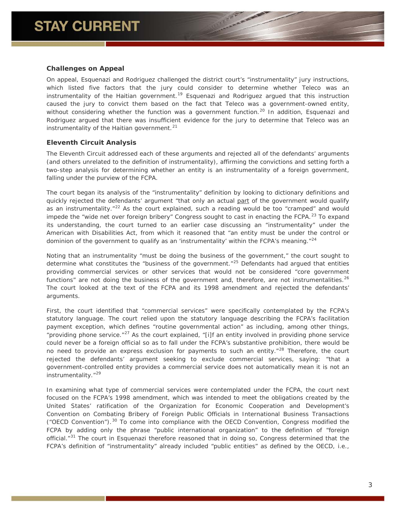# **Challenges on Appeal**

On appeal, Esquenazi and Rodriguez challenged the district court's "instrumentality" jury instructions, which listed five factors that the jury could consider to determine whether Teleco was an instrumentality of the Haitian government.<sup>[19](#page-7-0)</sup> Esquenazi and Rodriguez argued that this instruction caused the jury to convict them based on the fact that Teleco was a government-owned entity, without considering whether the function was a government function.<sup>[20](#page-7-1)</sup> In addition, Esquenazi and Rodriguez argued that there was insufficient evidence for the jury to determine that Teleco was an instrumentality of the Haitian government. $21$ 

# **Eleventh Circuit Analysis**

The Eleventh Circuit addressed each of these arguments and rejected all of the defendants' arguments (and others unrelated to the definition of instrumentality), affirming the convictions and setting forth a two-step analysis for determining whether an entity is an instrumentality of a foreign government, falling under the purview of the FCPA.

The court began its analysis of the "instrumentality" definition by looking to dictionary definitions and quickly rejected the defendants' argument "that only an actual part of the government would qualify as an instrumentality."<sup>[22](#page-7-3)</sup> As the court explained, such a reading would be too "cramped" and would impede the "wide net over foreign bribery" Congress sought to cast in enacting the FCPA.<sup>[23](#page-7-4)</sup> To expand its understanding, the court turned to an earlier case discussing an "instrumentality" under the American with Disabilities Act, from which it reasoned that "an entity must be under the control or dominion of the government to qualify as an 'instrumentality' within the FCPA's meaning."<sup>[24](#page-7-5)</sup>

Noting that an instrumentality "must be doing the business of the government," the court sought to determine what constitutes the "business of the government."<sup>[25](#page-7-6)</sup> Defendants had argued that entities providing commercial services or other services that would not be considered "core government functions" are not doing the business of the government and, therefore, are not instrumentalities.<sup>[26](#page-7-7)</sup> The court looked at the text of the FCPA and its 1998 amendment and rejected the defendants' arguments.

First, the court identified that "commercial services" were specifically contemplated by the FCPA's statutory language. The court relied upon the statutory language describing the FCPA's facilitation payment exception, which defines "routine governmental action" as including, among other things, "providing phone service."<sup>[27](#page-7-8)</sup> As the court explained, "[i]f an entity involved in providing phone service could never be a foreign official so as to fall under the FCPA's substantive prohibition, there would be no need to provide an express exclusion for payments to such an entity."<sup>[28](#page-7-9)</sup> Therefore, the court rejected the defendants' argument seeking to exclude commercial services, saying: "that a government-controlled entity provides a commercial service does not automatically mean it is not an instrumentality."<sup>[29](#page-7-10)</sup>

In examining what type of commercial services were contemplated under the FCPA, the court next focused on the FCPA's 1998 amendment, which was intended to meet the obligations created by the United States' ratification of the Organization for Economic Cooperation and Development's Convention on Combating Bribery of Foreign Public Officials in International Business Transactions ("OECD Convention").  $30$  To come into compliance with the OECD Convention, Congress modified the FCPA by adding only the phrase "public international organization" to the definition of "foreign official."[31](#page-7-12) The court in *Esquenazi* therefore reasoned that in doing so, Congress determined that the FCPA's definition of "instrumentality" already included "public entities" as defined by the OECD, i.e.,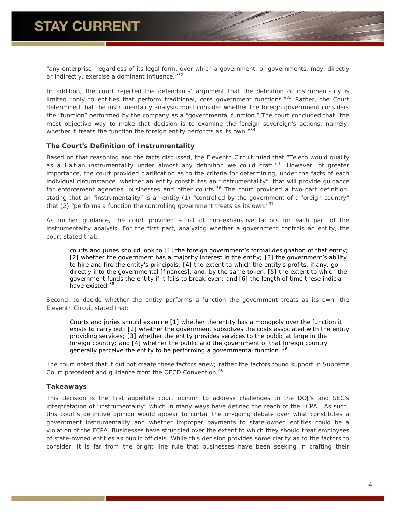"any enterprise, regardless of its legal form, over which a government, or governments, may, directly or indirectly, exercise a dominant influence."<sup>[32](#page-7-13)</sup>

In addition, the court rejected the defendants' argument that the definition of instrumentality is limited "only to entities that perform traditional, core government functions." $33$  Rather, the Court determined that the instrumentality analysis must consider whether the foreign government considers the "function" performed by the company as a "governmental function." The court concluded that "the most objective way to make that decision is to examine the foreign sovereign's actions, namely, whether it treats the function the foreign entity performs as its own. $134$  $134$ 

# **The Court's Definition of Instrumentality**

Based on that reasoning and the facts discussed, the Eleventh Circuit ruled that "Teleco would qualify as a Haitian instrumentality under almost any definition we could craft."<sup>[35](#page-7-16)</sup> However, of greater importance, the court provided clarification as to the criteria for determining, under the facts of each individual circumstance, whether an entity constitutes an "instrumentality", that will provide guidance for enforcement agencies, businesses and other courts.<sup>[36](#page-7-17)</sup> The court provided a two-part definition, stating that an "instrumentality" is an entity (1) "controlled by the government of a foreign country" that (2) "performs a function the controlling government treats as its own." $37$ 

As further guidance, the court provided a list of non-exhaustive factors for each part of the instrumentality analysis. For the first part, analyzing whether a government controls an entity, the court stated that:

*courts and juries should look to [1] the foreign government's formal designation of that entity; [2] whether the government has a majority interest in the entity; [3] the government's ability to hire and fire the entity's principals; [4] the extent to which the entity's profits, if any, go directly into the governmental [finances], and, by the same token, [5] the extent to which the government funds the entity if it fails to break even; and [6] the length of time these indicia have existed.[38](#page-7-19)*

Second, to decide whether the entity performs a function the government treats as its own, the Eleventh Circuit stated that:

*Courts and juries should examine [1] whether the entity has a monopoly over the function it exists to carry out; [2] whether the government subsidizes the costs associated with the entity providing services; [3] whether the entity provides services to the public at large in the foreign country; and [4] whether the public and the government of that foreign country generally perceive the entity to be performing a governmental function. [39](#page-7-20)*

The court noted that it did not create these factors anew; rather the factors found support in Supreme Court precedent and guidance from the OECD Convention.<sup>[40](#page-7-21)</sup>

### **Takeaways**

This decision is the first appellate court opinion to address challenges to the DOJ's and SEC's interpretation of "instrumentality" which in many ways have defined the reach of the FCPA. As such, this court's definitive opinion would appear to curtail the on-going debate over what constitutes a government instrumentality and whether improper payments to state-owned entities could be a violation of the FCPA. Businesses have struggled over the extent to which they should treat employees of state-owned entities as public officials. While this decision provides some clarity as to the factors to consider, it is far from the bright line rule that businesses have been seeking in crafting their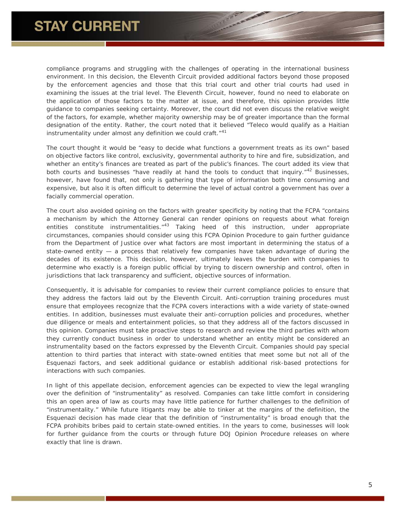compliance programs and struggling with the challenges of operating in the international business environment. In this decision, the Eleventh Circuit provided additional factors beyond those proposed by the enforcement agencies and those that this trial court and other trial courts had used in examining the issues at the trial level. The Eleventh Circuit, however, found no need to elaborate on the application of those factors to the matter at issue, and therefore, this opinion provides little guidance to companies seeking certainty. Moreover, the court did not even discuss the relative weight of the factors, for example, whether majority ownership may be of greater importance than the formal designation of the entity. Rather, the court noted that it believed "Teleco would qualify as a Haitian instrumentality under almost any definition we could craft."<sup>[41](#page-7-22)</sup>

The court thought it would be "easy to decide what functions a government treats as its own" based on objective factors like control, exclusivity, governmental authority to hire and fire, subsidization, and whether an entity's finances are treated as part of the public's finances. The court added its view that both courts and businesses "have readily at hand the tools to conduct that inquiry."<sup>[42](#page-7-23)</sup> Businesses, however, have found that, not only is gathering that type of information both time consuming and expensive, but also it is often difficult to determine the level of actual control a government has over a facially commercial operation.

The court also avoided opining on the factors with greater specificity by noting that the FCPA "contains a mechanism by which the Attorney General can render opinions on requests about what foreign entities constitute instrumentalities."<sup>[43](#page-7-24)</sup> Taking heed of this instruction, under appropriate circumstances, companies should consider using this FCPA Opinion Procedure to gain further guidance from the Department of Justice over what factors are most important in determining the status of a state-owned entity — a process that relatively few companies have taken advantage of during the decades of its existence. This decision, however, ultimately leaves the burden with companies to determine who exactly is a foreign public official by trying to discern ownership and control, often in jurisdictions that lack transparency and sufficient, objective sources of information.

Consequently, it is advisable for companies to review their current compliance policies to ensure that they address the factors laid out by the Eleventh Circuit. Anti-corruption training procedures must ensure that employees recognize that the FCPA covers interactions with a wide variety of state-owned entities. In addition, businesses must evaluate their anti-corruption policies and procedures, whether due diligence or meals and entertainment policies, so that they address all of the factors discussed in this opinion. Companies must take proactive steps to research and review the third parties with whom they currently conduct business in order to understand whether an entity might be considered an instrumentality based on the factors expressed by the Eleventh Circuit. Companies should pay special attention to third parties that interact with state-owned entities that meet some but not all of the *Esquenazi* factors, and seek additional guidance or establish additional risk-based protections for interactions with such companies.

In light of this appellate decision, enforcement agencies can be expected to view the legal wrangling over the definition of "instrumentality" as resolved. Companies can take little comfort in considering this an open area of law as courts may have little patience for further challenges to the definition of "instrumentality." While future litigants may be able to tinker at the margins of the definition, the *Esquenazi* decision has made clear that the definition of "instrumentality" is broad enough that the FCPA prohibits bribes paid to certain state-owned entities. In the years to come, businesses will look for further guidance from the courts or through future DOJ Opinion Procedure releases on where exactly that line is drawn.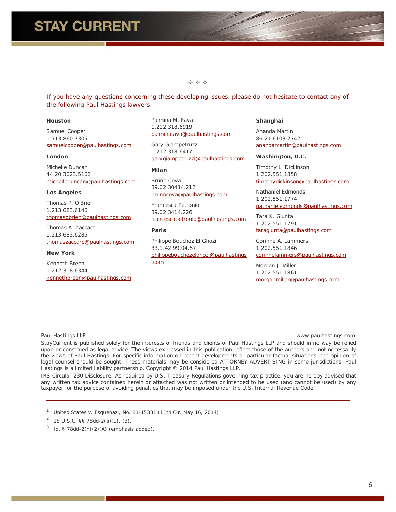### $\Leftrightarrow$   $\Leftrightarrow$   $\Leftrightarrow$

<span id="page-5-4"></span><span id="page-5-3"></span>*If you have any questions concerning these developing issues, please do not hesitate to contact any of the following Paul Hastings lawyers:*

#### **Houston**

Samuel Cooper 1.713.860.7305 [samuelcooper@paulhastings.com](mailto:samuelcooper@paulhastings.com)

#### **London**

Michelle Duncan 44.20.3023.5162 [michelleduncan@paulhastings.com](mailto:michelleduncan@paulhastings.com)

#### **Los Angeles**

Thomas P. O'Brien 1.213.683.6146 [thomasobrien@paulhastings.com](mailto:thomasobrien@paulhastings.com)

Thomas A. Zaccaro 1.213.683.6285 [thomaszaccaro@paulhastings.com](mailto:thomaszaccaro@paulhastings.com)

#### **New York**

Kenneth Breen 1.212.318.6344 [kennethbreen@paulhastings.com](mailto:kennethbreen@paulhastings.com) Palmina M. Fava 1.212.318.6919 [palminafava@paulhastings.com](mailto:palminafava@paulhastings.com)

Gary Giampetruzzi 1.212.318.6417 [garygiampetruzzi@paulhastings.com](mailto:garygiampetruzzi@paulhastings.com)

#### **Milan**

Bruno Cova 39.02.30414.212 [brunocova@paulhastings.com](mailto:brunocova@paulhastings.com)

Francesca Petronio 39.02.3414.226 [francescapetronio@paulhastings.com](mailto:francescapetronio@paulhastings.com)

### **Paris**

Philippe Bouchez El Ghozi 33.1.42.99.04.67 [philippebouchezelghozi@paulhastings](mailto:philippebouchezelghozi@paulhastings.com) [.com](mailto:philippebouchezelghozi@paulhastings.com)

#### **Shanghai**

Ananda Martin 86.21.6103.2742 [anandamartin@paulhastings.com](mailto:anandamartin@paulhastings.com)

#### **Washington, D.C.**

Timothy L. Dickinson 1.202.551.1858 [timothydickinson@paulhastings.com](mailto:timothydickinson@paulhastings.com)

Nathaniel Edmonds 1.202.551.1774 [nathanieledmonds@paulhastings.com](mailto:nathanieledmonds@paulhastings.com)

Tara K. Giunta 1.202.551.1791 [taragiunta@paulhastings.com](mailto:taragiunta@paulhastings.com)

Corinne A. Lammers 1.202.551.1846 [corinnelammers@paulhastings.com](mailto:corinnelammers@paulhastings.com)

Morgan J. Miller 1.202.551.1861

[morganmiller@paulhastings.com](mailto:morganmiller@paulhastings.com)

Paul Hastings LLP www.paulhastings.com

Stay*Current* is published solely for the interests of friends and clients of Paul Hastings LLP and should in no way be relied upon or construed as legal advice. The views expressed in this publication reflect those of the authors and not necessarily the views of Paul Hastings. For specific information on recent developments or particular factual situations, the opinion of legal counsel should be sought. These materials may be considered ATTORNEY ADVERTISING in some jurisdictions. Paul Hastings is a limited liability partnership. Copyright © 2014 Paul Hastings LLP.

IRS Circular 230 Disclosure: As required by U.S. Treasury Regulations governing tax practice, you are hereby advised that any written tax advice contained herein or attached was not written or intended to be used (and cannot be used) by any taxpayer for the purpose of avoiding penalties that may be imposed under the U.S. Internal Revenue Code.

<span id="page-5-0"></span><sup>1</sup> *United States v. Esquenazi*, No. 11-15331 (11th Cir. May 16, 2014).

<span id="page-5-1"></span><sup>2</sup> 15 U.S.C. §§ 78dd-2(a)(1), (3).

<span id="page-5-2"></span><sup>3</sup> *Id*. § 78dd-2(h)(2)(A) (emphasis added).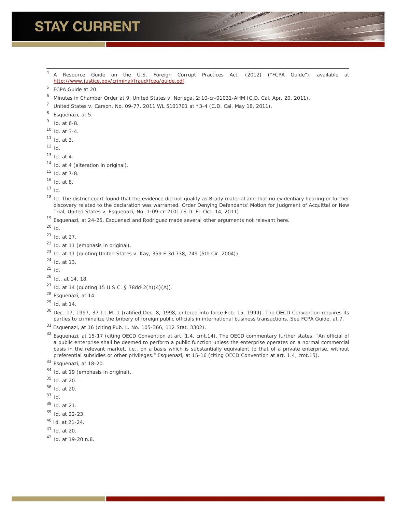# **STAY CURRENT**

 *A Resource Guide on the U.S. Foreign Corrupt Practices Act*, (2012) ("FCPA Guide"), *available at* [http://www.justice.gov/criminal/fraud/fcpa/guide.pdf.](http://www.justice.gov/criminal/fraud/fcpa/guide.pdf)

- <span id="page-6-0"></span>Minutes in Chamber Order at 9, *United States v. Noriega*, 2:10-cr-01031-AHM (C.D. Cal. Apr. 20, 2011).
- <span id="page-6-1"></span>*United States v. Carson*, No. 09-77, 2011 WL 5101701 at \*3-4 (C.D. Cal. May 18, 2011).
- <span id="page-6-2"></span>*Esquenazi*, at 5.
- <span id="page-6-3"></span>*Id.* at 6-8.
- <span id="page-6-4"></span>*Id.* at 3-4.
- <span id="page-6-5"></span>*Id.* at 3.
- <span id="page-6-6"></span>*Id.*
- <span id="page-6-7"></span>*Id.* at 4.
- <span id="page-6-8"></span>*Id.* at 4 (alteration in original).
- <span id="page-6-9"></span>*Id.* at 7-8.
- <span id="page-6-10"></span>*Id.* at 8.
- <span id="page-6-11"></span>*Id.*
- <span id="page-6-12"></span> *Id.* The district court found that the evidence did not qualify as *Brady* material and that no evidentiary hearing or further discovery related to the declaration was warranted. Order Denying Defendants' Motion for Judgment of Acquittal or New Trial, *United States v. Esquenazi*, No. 1:09-cr-2101 (S.D. Fl. Oct. 14, 2011)
- *Esquenazi*, at 24-25. Esquenazi and Rodriguez made several other arguments not relevant here.
- *Id.*
- *Id.* at 27.
- *Id.* at 11 (emphasis in original).
- *Id.* at 11 (quoting *United States v. Kay*, 359 F.3d 738, 749 (5th Cir. 2004)).
- *Id.* at 13.
- *Id.*
- *Id.*, at 14, 18.
- *Id.* at 14 (quoting 15 U.S.C. § 78dd-2(h)(4)(A)).
- *Esquenazi*, at 14.
- *Id.* at 14.

- *Esquenazi*, at 16 (citing Pub. L. No. 105-366, 112 Stat. 3302).
- *Esquenazi*, at 15-17 (citing OECD Convention at art. 1.4, cmt.14). The OECD commentary further states: "An official of a public enterprise shall be deemed to perform a public function unless the enterprise operates on a normal commercial basis in the relevant market, i.e., on a basis which is substantially equivalent to that of a private enterprise, without preferential subsidies or other privileges." *Esquenazi*, at 15-16 (citing OECD Convention at art. 1.4, cmt.15).

- *Esquenazi*, at 18-20.
- *Id.* at 19 (emphasis in original).
- *Id.* at 20.
- *Id.* at 20.
- *Id*.
- *Id.* at 21.
- *Id.* at 22-23.
- *Id.* at 21-24.
- *Id.* at 20.
- *Id.* at 19-20 n.8.

FCPA Guide at 20.

 Dec. 17, 1997, 37 I.L.M. 1 (ratified Dec. 8, 1998, entered into force Feb. 15, 1999). The OECD Convention requires its parties to criminalize the bribery of foreign public officials in international business transactions. *See* FCPA Guide, at 7.